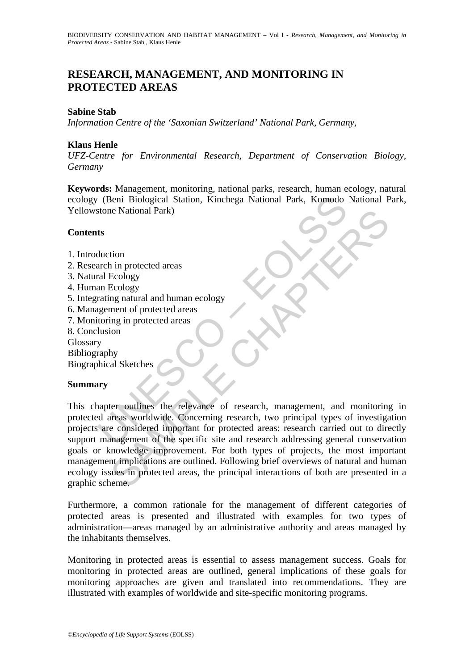# **RESEARCH, MANAGEMENT, AND MONITORING IN PROTECTED AREAS**

### **Sabine Stab**

*Information Centre of the 'Saxonian Switzerland' National Park, Germany*,

### **Klaus Henle**

*UFZ-Centre for Environmental Research, Department of Conservation Biology, Germany* 

**Keywords:** Management, monitoring, national parks, research, human ecology, natural ecology (Beni Biological Station, Kinchega National Park, Komodo National Park, Yellowstone National Park)

#### **Contents**

- 1. Introduction
- 2. Research in protected areas
- 3. Natural Ecology
- 4. Human Ecology
- 5. Integrating natural and human ecology
- 6. Management of protected areas
- 7. Monitoring in protected areas
- 8. Conclusion
- Glossary
- Bibliography

Biographical Sketches

## **Summary**

(Beni Biological Station, Kinchega National Park, Komodo<br>
stone National Park)<br>
ts<br>
ts<br>
ts<br>
duction<br>
arch in protected areas<br>
rating natural and human ecology<br>
are mericing in protected areas<br>
toring in protected areas<br>
lu The National Park)<br>
ion<br>
in n protected areas<br>
Ecology<br>
Ecology<br>
mentral and human ecology<br>
mentral protected areas<br>
ing in protected areas<br>
ion<br>
hy<br>
al Sketches<br>
ion<br>
the relevance of research, two principal types of inve This chapter outlines the relevance of research, management, and monitoring in protected areas worldwide. Concerning research, two principal types of investigation projects are considered important for protected areas: research carried out to directly support management of the specific site and research addressing general conservation goals or knowledge improvement. For both types of projects, the most important management implications are outlined. Following brief overviews of natural and human ecology issues in protected areas, the principal interactions of both are presented in a graphic scheme.

Furthermore, a common rationale for the management of different categories of protected areas is presented and illustrated with examples for two types of administration—areas managed by an administrative authority and areas managed by the inhabitants themselves.

Monitoring in protected areas is essential to assess management success. Goals for monitoring in protected areas are outlined, general implications of these goals for monitoring approaches are given and translated into recommendations. They are illustrated with examples of worldwide and site-specific monitoring programs.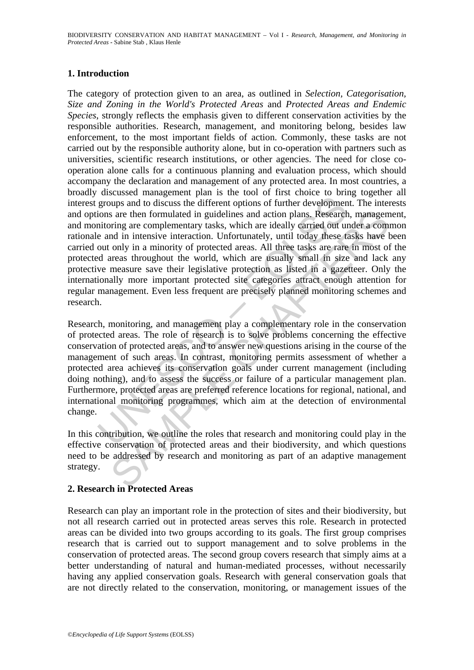## **1. Introduction**

dreassed management part is the constant part in the constant part of the constant part of the constant part of the constant part of the and in intensive interaction. Unfortunately, until today these the and in intensive i s are then formulated in guidelines and action plans. Research, managem<br>ring are complementary tasks, which are ideally carried out under a comm<br>only in intensive interaction. Unfortunately, until today these tasks have<br>on The category of protection given to an area, as outlined in *Selection, Categorisation, Size and Zoning in the World's Protected Areas* and *Protected Areas and Endemic Species*, strongly reflects the emphasis given to different conservation activities by the responsible authorities. Research, management, and monitoring belong, besides law enforcement, to the most important fields of action. Commonly, these tasks are not carried out by the responsible authority alone, but in co-operation with partners such as universities, scientific research institutions, or other agencies. The need for close cooperation alone calls for a continuous planning and evaluation process, which should accompany the declaration and management of any protected area. In most countries, a broadly discussed management plan is the tool of first choice to bring together all interest groups and to discuss the different options of further development. The interests and options are then formulated in guidelines and action plans. Research, management, and monitoring are complementary tasks, which are ideally carried out under a common rationale and in intensive interaction. Unfortunately, until today these tasks have been carried out only in a minority of protected areas. All three tasks are rare in most of the protected areas throughout the world, which are usually small in size and lack any protective measure save their legislative protection as listed in a gazetteer. Only the internationally more important protected site categories attract enough attention for regular management. Even less frequent are precisely planned monitoring schemes and research.

Research, monitoring, and management play a complementary role in the conservation of protected areas. The role of research is to solve problems concerning the effective conservation of protected areas, and to answer new questions arising in the course of the management of such areas. In contrast, monitoring permits assessment of whether a protected area achieves its conservation goals under current management (including doing nothing), and to assess the success or failure of a particular management plan. Furthermore, protected areas are preferred reference locations for regional, national, and international monitoring programmes, which aim at the detection of environmental change.

In this contribution, we outline the roles that research and monitoring could play in the effective conservation of protected areas and their biodiversity, and which questions need to be addressed by research and monitoring as part of an adaptive management strategy.

## **2. Research in Protected Areas**

Research can play an important role in the protection of sites and their biodiversity, but not all research carried out in protected areas serves this role. Research in protected areas can be divided into two groups according to its goals. The first group comprises research that is carried out to support management and to solve problems in the conservation of protected areas. The second group covers research that simply aims at a better understanding of natural and human-mediated processes, without necessarily having any applied conservation goals. Research with general conservation goals that are not directly related to the conservation, monitoring, or management issues of the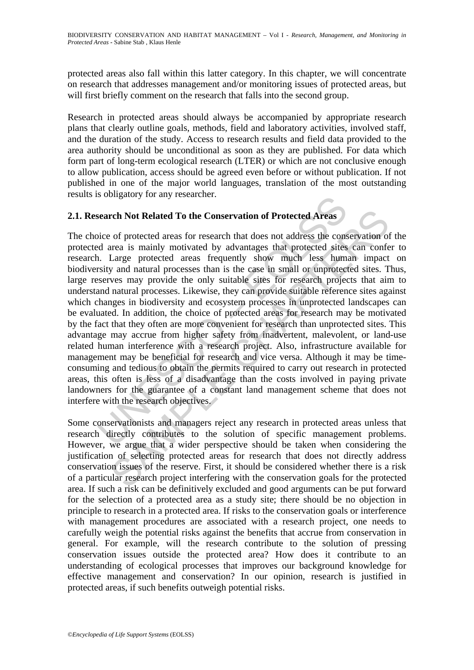protected areas also fall within this latter category. In this chapter, we will concentrate on research that addresses management and/or monitoring issues of protected areas, but will first briefly comment on the research that falls into the second group.

Research in protected areas should always be accompanied by appropriate research plans that clearly outline goals, methods, field and laboratory activities, involved staff, and the duration of the study. Access to research results and field data provided to the area authority should be unconditional as soon as they are published. For data which form part of long-term ecological research (LTER) or which are not conclusive enough to allow publication, access should be agreed even before or without publication. If not published in one of the major world languages, translation of the most outstanding results is obligatory for any researcher.

## **2.1. Research Not Related To the Conservation of Protected Areas**

solongatory for any researcher.<br>
search Not Related To the Conservation of Protected Areas<br>
bice of protected areas for research that does not address the cons<br>
old area is mainly motivated by advantages that protected ari rch Not Related To the Conservation of Protected Areas<br>of protected areas for research that does not address the conservation of<br>ura is mainly motivated by advantages that protected sites can confe<br>Large protected areas fr The choice of protected areas for research that does not address the conservation of the protected area is mainly motivated by advantages that protected sites can confer to research. Large protected areas frequently show much less human impact on biodiversity and natural processes than is the case in small or unprotected sites. Thus, large reserves may provide the only suitable sites for research projects that aim to understand natural processes. Likewise, they can provide suitable reference sites against which changes in biodiversity and ecosystem processes in unprotected landscapes can be evaluated. In addition, the choice of protected areas for research may be motivated by the fact that they often are more convenient for research than unprotected sites. This advantage may accrue from higher safety from inadvertent, malevolent, or land-use related human interference with a research project. Also, infrastructure available for management may be beneficial for research and vice versa. Although it may be timeconsuming and tedious to obtain the permits required to carry out research in protected areas, this often is less of a disadvantage than the costs involved in paying private landowners for the guarantee of a constant land management scheme that does not interfere with the research objectives.

Some conservationists and managers reject any research in protected areas unless that research directly contributes to the solution of specific management problems. However, we argue that a wider perspective should be taken when considering the justification of selecting protected areas for research that does not directly address conservation issues of the reserve. First, it should be considered whether there is a risk of a particular research project interfering with the conservation goals for the protected area. If such a risk can be definitively excluded and good arguments can be put forward for the selection of a protected area as a study site; there should be no objection in principle to research in a protected area. If risks to the conservation goals or interference with management procedures are associated with a research project, one needs to carefully weigh the potential risks against the benefits that accrue from conservation in general. For example, will the research contribute to the solution of pressing conservation issues outside the protected area? How does it contribute to an understanding of ecological processes that improves our background knowledge for effective management and conservation? In our opinion, research is justified in protected areas, if such benefits outweigh potential risks.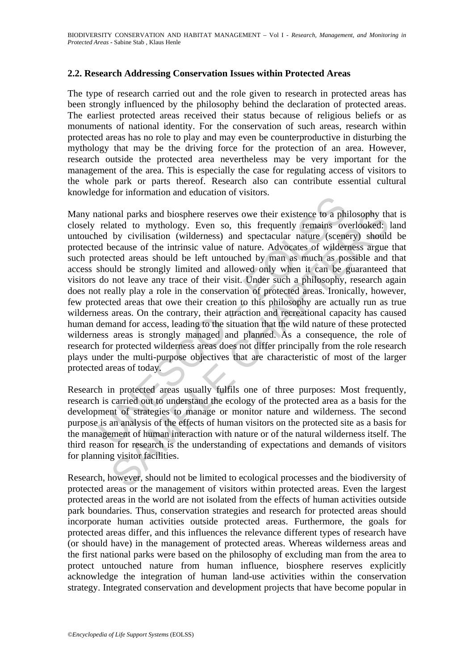## **2.2. Research Addressing Conservation Issues within Protected Areas**

The type of research carried out and the role given to research in protected areas has been strongly influenced by the philosophy behind the declaration of protected areas. The earliest protected areas received their status because of religious beliefs or as monuments of national identity. For the conservation of such areas, research within protected areas has no role to play and may even be counterproductive in disturbing the mythology that may be the driving force for the protection of an area. However, research outside the protected area nevertheless may be very important for the management of the area. This is especially the case for regulating access of visitors to the whole park or parts thereof. Research also can contribute essential cultural knowledge for information and education of visitors.

ational parks and biosphere reserves owe their existence to a phi<br>related to mythology. Even so, this frequently remains over<br>do by civilisation (wilderness) and spectacular nature (scenee<br>of eccause of the intrinsic value onal parks and biosphere reserves owe their existence to a philosophy thated to mythology. Even so, this frequently remains overlooked:<br>by civilisation (wilderness) and spectacular nature (scenery) should be because of the Many national parks and biosphere reserves owe their existence to a philosophy that is closely related to mythology. Even so, this frequently remains overlooked: land untouched by civilisation (wilderness) and spectacular nature (scenery) should be protected because of the intrinsic value of nature. Advocates of wilderness argue that such protected areas should be left untouched by man as much as possible and that access should be strongly limited and allowed only when it can be guaranteed that visitors do not leave any trace of their visit. Under such a philosophy, research again does not really play a role in the conservation of protected areas. Ironically, however, few protected areas that owe their creation to this philosophy are actually run as true wilderness areas. On the contrary, their attraction and recreational capacity has caused human demand for access, leading to the situation that the wild nature of these protected wilderness areas is strongly managed and planned. As a consequence, the role of research for protected wilderness areas does not differ principally from the role research plays under the multi-purpose objectives that are characteristic of most of the larger protected areas of today.

Research in protected areas usually fulfils one of three purposes: Most frequently, research is carried out to understand the ecology of the protected area as a basis for the development of strategies to manage or monitor nature and wilderness. The second purpose is an analysis of the effects of human visitors on the protected site as a basis for the management of human interaction with nature or of the natural wilderness itself. The third reason for research is the understanding of expectations and demands of visitors for planning visitor facilities.

Research, however, should not be limited to ecological processes and the biodiversity of protected areas or the management of visitors within protected areas. Even the largest protected areas in the world are not isolated from the effects of human activities outside park boundaries. Thus, conservation strategies and research for protected areas should incorporate human activities outside protected areas. Furthermore, the goals for protected areas differ, and this influences the relevance different types of research have (or should have) in the management of protected areas. Whereas wilderness areas and the first national parks were based on the philosophy of excluding man from the area to protect untouched nature from human influence, biosphere reserves explicitly acknowledge the integration of human land-use activities within the conservation strategy. Integrated conservation and development projects that have become popular in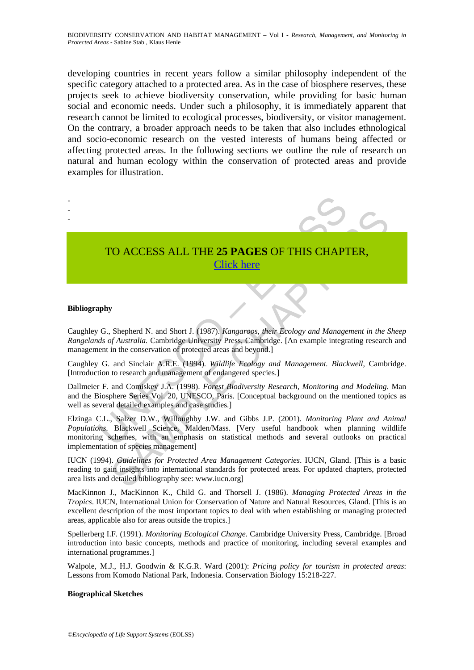developing countries in recent years follow a similar philosophy independent of the specific category attached to a protected area. As in the case of biosphere reserves, these projects seek to achieve biodiversity conservation, while providing for basic human social and economic needs. Under such a philosophy, it is immediately apparent that research cannot be limited to ecological processes, biodiversity, or visitor management. On the contrary, a broader approach needs to be taken that also includes ethnological and socio-economic research on the vested interests of humans being affected or affecting protected areas. In the following sections we outline the role of research on natural and human ecology within the conservation of protected areas and provide examples for illustration.



# TO ACCESS ALL THE **25 PAGES** OF THIS CHAPTER, Click here

#### **Bibliography**

Caughley G., Shepherd N. and Short J. (1987). *Kangaroos, their Ecology and Management in the Sheep Rangelands of Australia.* Cambridge University Press, Cambridge. [An example integrating research and management in the conservation of protected areas and beyond.]

Caughley G. and Sinclair A.R.E. (1994). *Wildlife Ecology and Management. Blackwell*, Cambridge. [Introduction to research and management of endangered species.]

Dallmeier F. and Comiskey J.A. (1998). *Forest Biodiversity Research, Monitoring and Modeling.* Man and the Biosphere Series Vol. 20, UNESCO, Paris. [Conceptual background on the mentioned topics as well as several detailed examples and case studies.]

CO ACCESS ALL THE 25 PAGES OF THIS CHAPTER,<br>
Shepherd N. and Short J. (1987). *Kangaraos, their Ecology and Management in the Sf Australia.* Cambridge University Press, Cambridge U. (An example integrating research in the Elzinga C.L., Salzer D.W., Willoughby J.W. and Gibbs J.P. (2001). *Monitoring Plant and Animal Populations*. Blackwell Science, Malden/Mass. [Very useful handbook when planning wildlife monitoring schemes, with an emphasis on statistical methods and several outlooks on practical implementation of species management]

IUCN (1994). *Guidelines for Protected Area Management Categories*. IUCN, Gland. [This is a basic reading to gain insights into international standards for protected areas. For updated chapters, protected area lists and detailed bibliography see: www.iucn.org]

MacKinnon J., MacKinnon K., Child G. and Thorsell J. (1986). *Managing Protected Areas in the Tropics*. IUCN, International Union for Conservation of Nature and Natural Resources, Gland. [This is an excellent description of the most important topics to deal with when establishing or managing protected areas, applicable also for areas outside the tropics.]

Spellerberg I.F. (1991). *Monitoring Ecological Change*. Cambridge University Press, Cambridge. [Broad introduction into basic concepts, methods and practice of monitoring, including several examples and international programmes.]

Walpole, M.J., H.J. Goodwin & K.G.R. Ward (2001): *Pricing policy for tourism in protected areas*: Lessons from Komodo National Park, Indonesia. Conservation Biology 15:218-227.

#### **Biographical Sketches**